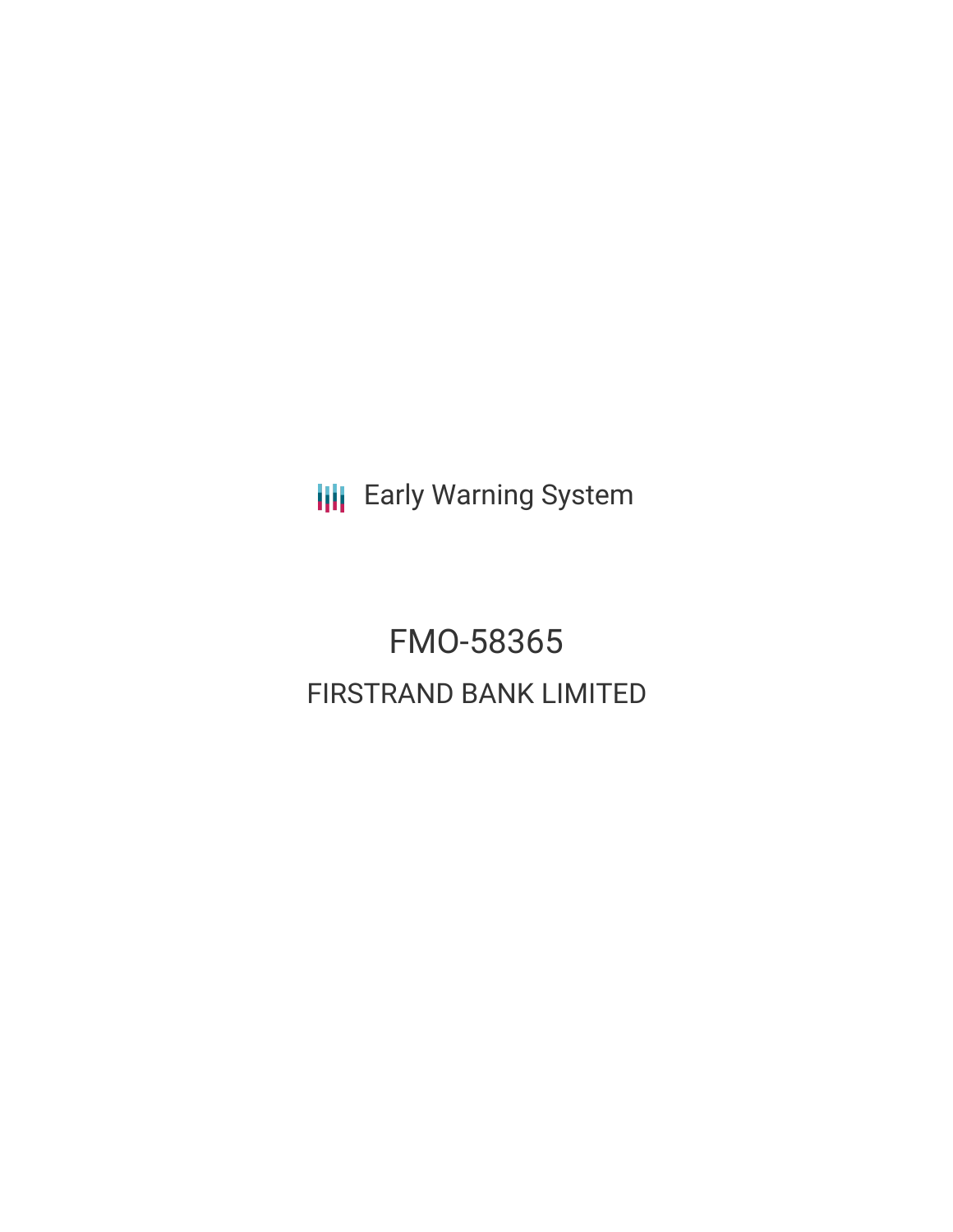**III** Early Warning System

FMO-58365 FIRSTRAND BANK LIMITED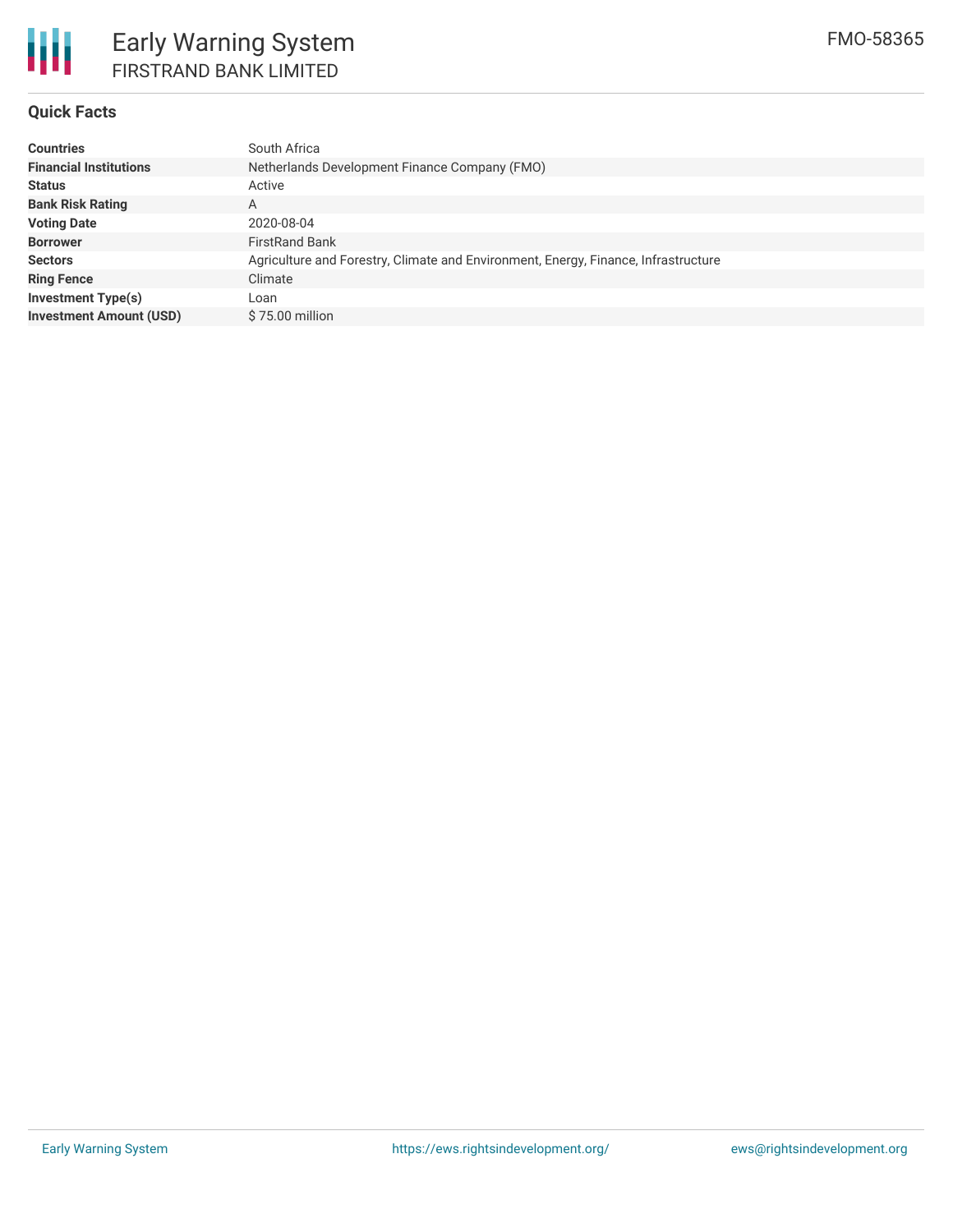

### **Quick Facts**

| <b>Countries</b>               | South Africa                                                                       |
|--------------------------------|------------------------------------------------------------------------------------|
| <b>Financial Institutions</b>  | Netherlands Development Finance Company (FMO)                                      |
| <b>Status</b>                  | Active                                                                             |
| <b>Bank Risk Rating</b>        | A                                                                                  |
| <b>Voting Date</b>             | 2020-08-04                                                                         |
| <b>Borrower</b>                | <b>FirstRand Bank</b>                                                              |
| <b>Sectors</b>                 | Agriculture and Forestry, Climate and Environment, Energy, Finance, Infrastructure |
| <b>Ring Fence</b>              | Climate                                                                            |
| <b>Investment Type(s)</b>      | Loan                                                                               |
| <b>Investment Amount (USD)</b> | \$75,00 million                                                                    |
|                                |                                                                                    |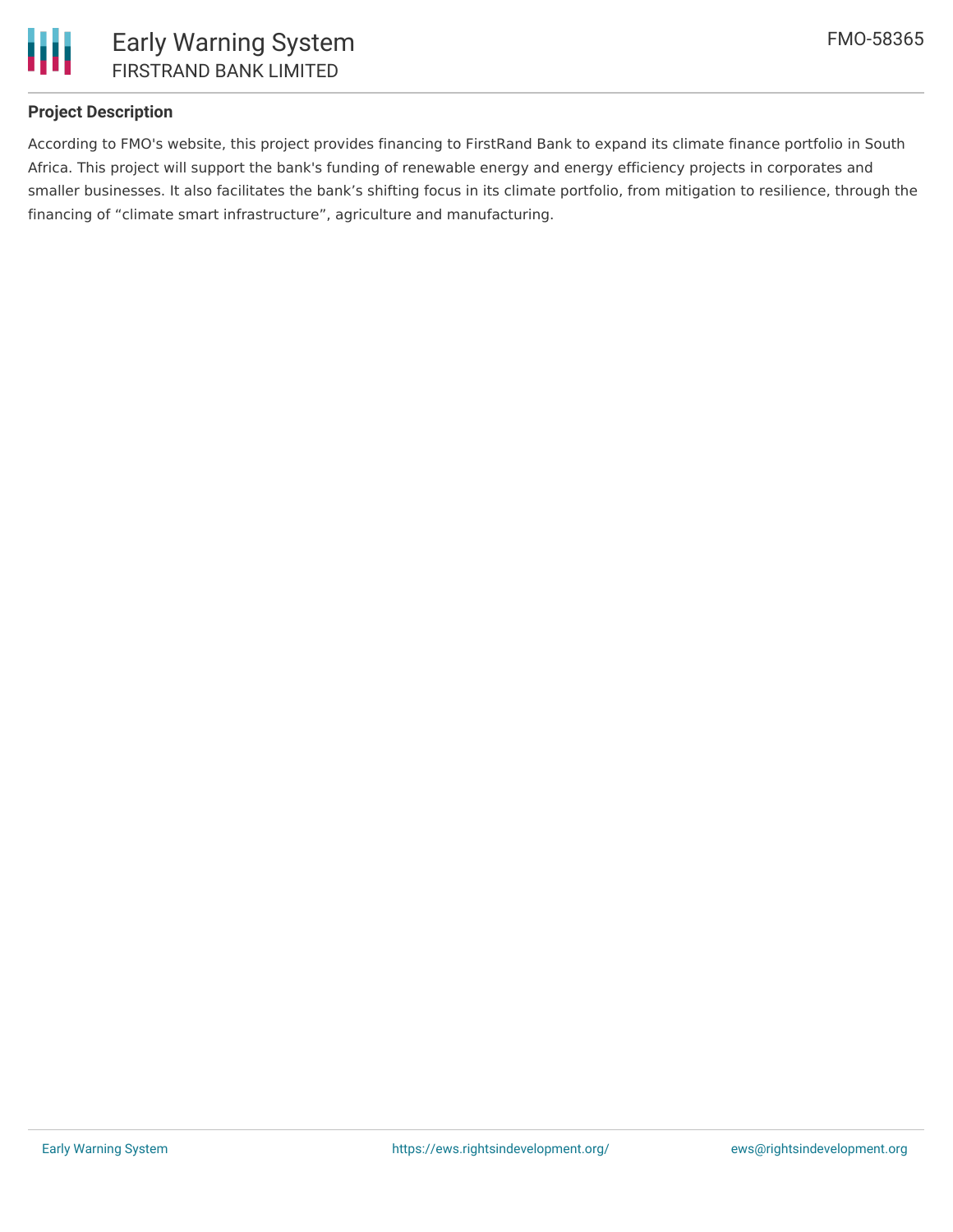

### **Project Description**

According to FMO's website, this project provides financing to FirstRand Bank to expand its climate finance portfolio in South Africa. This project will support the bank's funding of renewable energy and energy efficiency projects in corporates and smaller businesses. It also facilitates the bank's shifting focus in its climate portfolio, from mitigation to resilience, through the financing of "climate smart infrastructure", agriculture and manufacturing.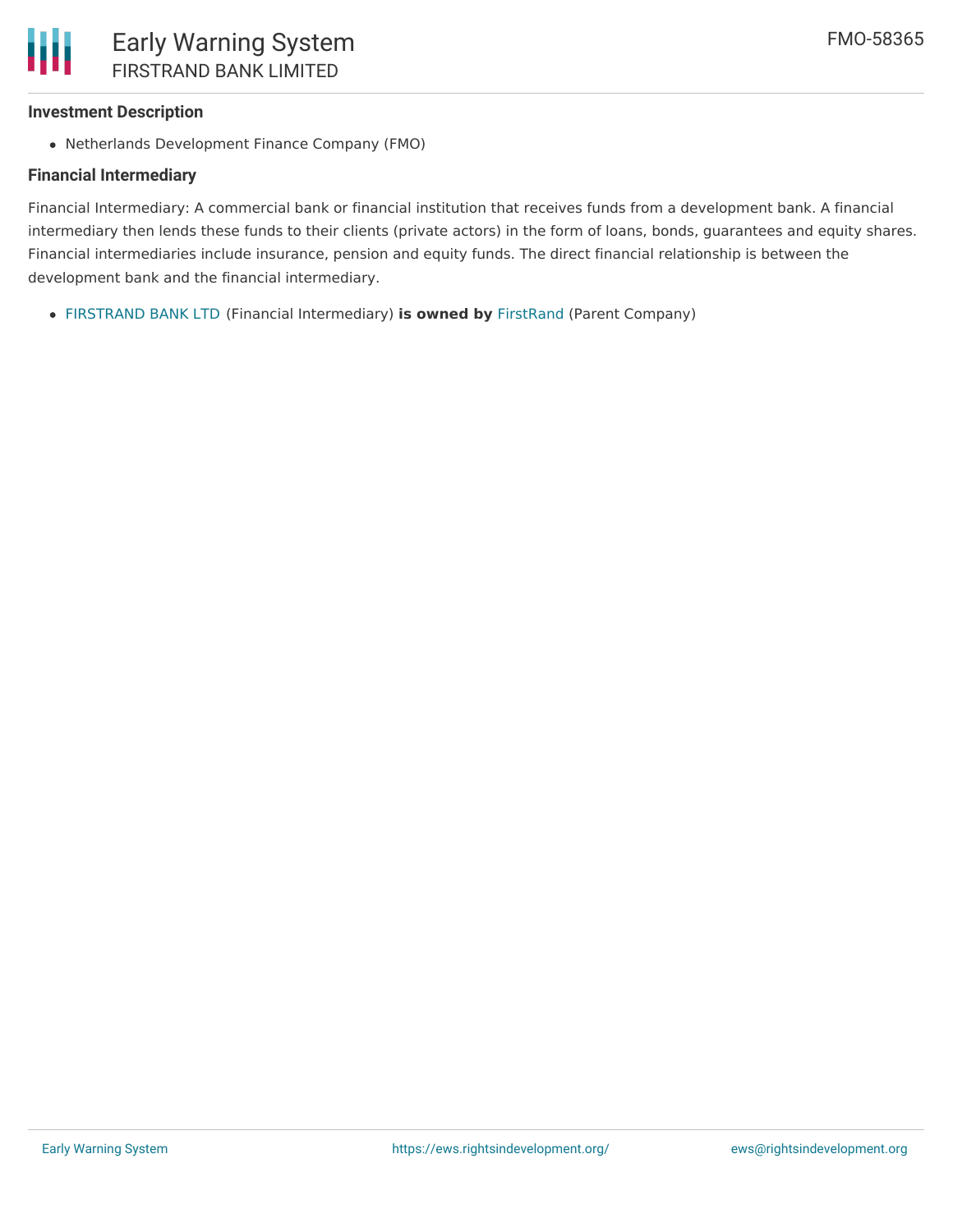#### **Investment Description**

Netherlands Development Finance Company (FMO)

#### **Financial Intermediary**

Financial Intermediary: A commercial bank or financial institution that receives funds from a development bank. A financial intermediary then lends these funds to their clients (private actors) in the form of loans, bonds, guarantees and equity shares. Financial intermediaries include insurance, pension and equity funds. The direct financial relationship is between the development bank and the financial intermediary.

[FIRSTRAND](file:///actor/3492/) BANK LTD (Financial Intermediary) **is owned by** [FirstRand](file:///actor/3544/) (Parent Company)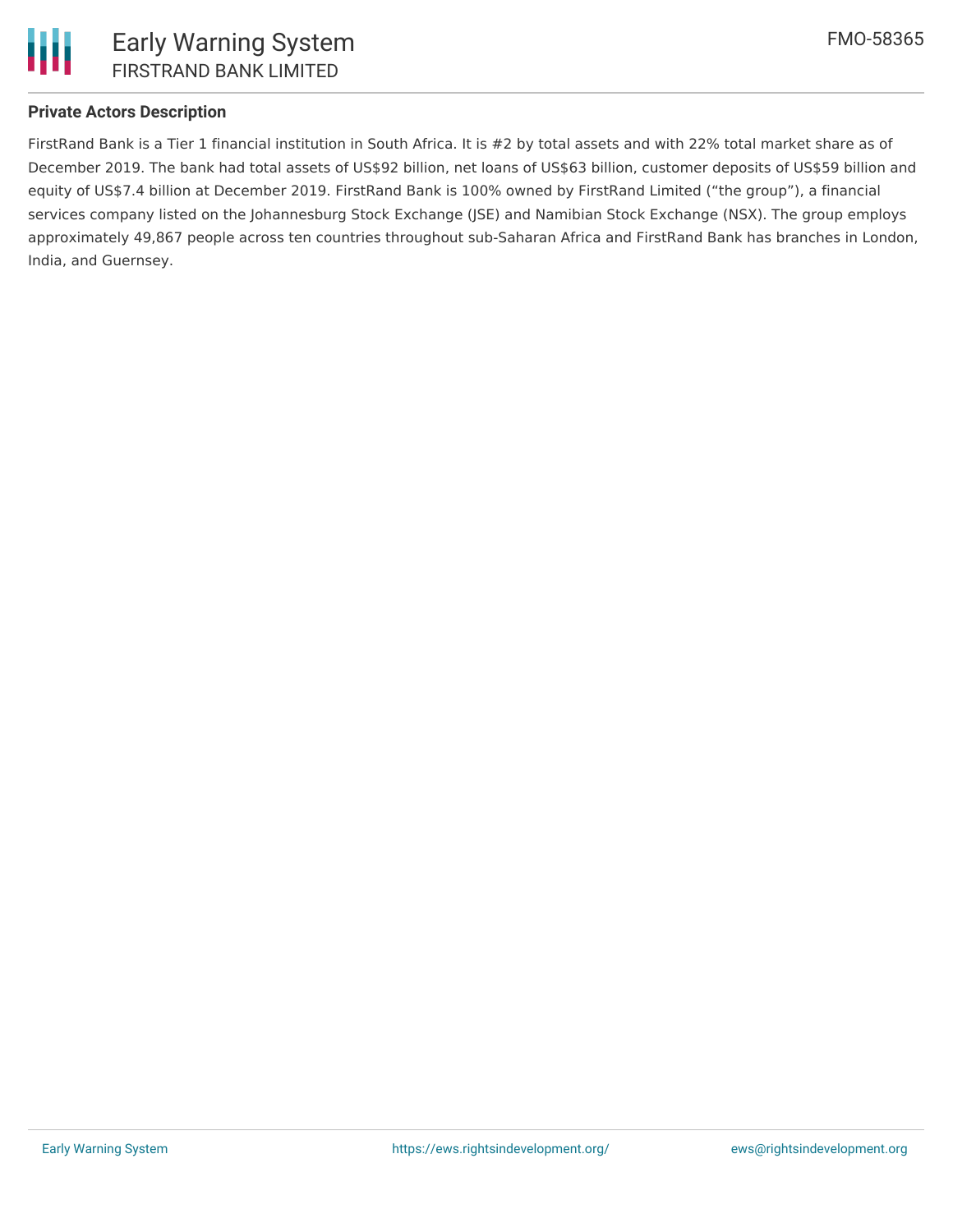

## **Private Actors Description**

FirstRand Bank is a Tier 1 financial institution in South Africa. It is #2 by total assets and with 22% total market share as of December 2019. The bank had total assets of US\$92 billion, net loans of US\$63 billion, customer deposits of US\$59 billion and equity of US\$7.4 billion at December 2019. FirstRand Bank is 100% owned by FirstRand Limited ("the group"), a financial services company listed on the Johannesburg Stock Exchange (JSE) and Namibian Stock Exchange (NSX). The group employs approximately 49,867 people across ten countries throughout sub-Saharan Africa and FirstRand Bank has branches in London, India, and Guernsey.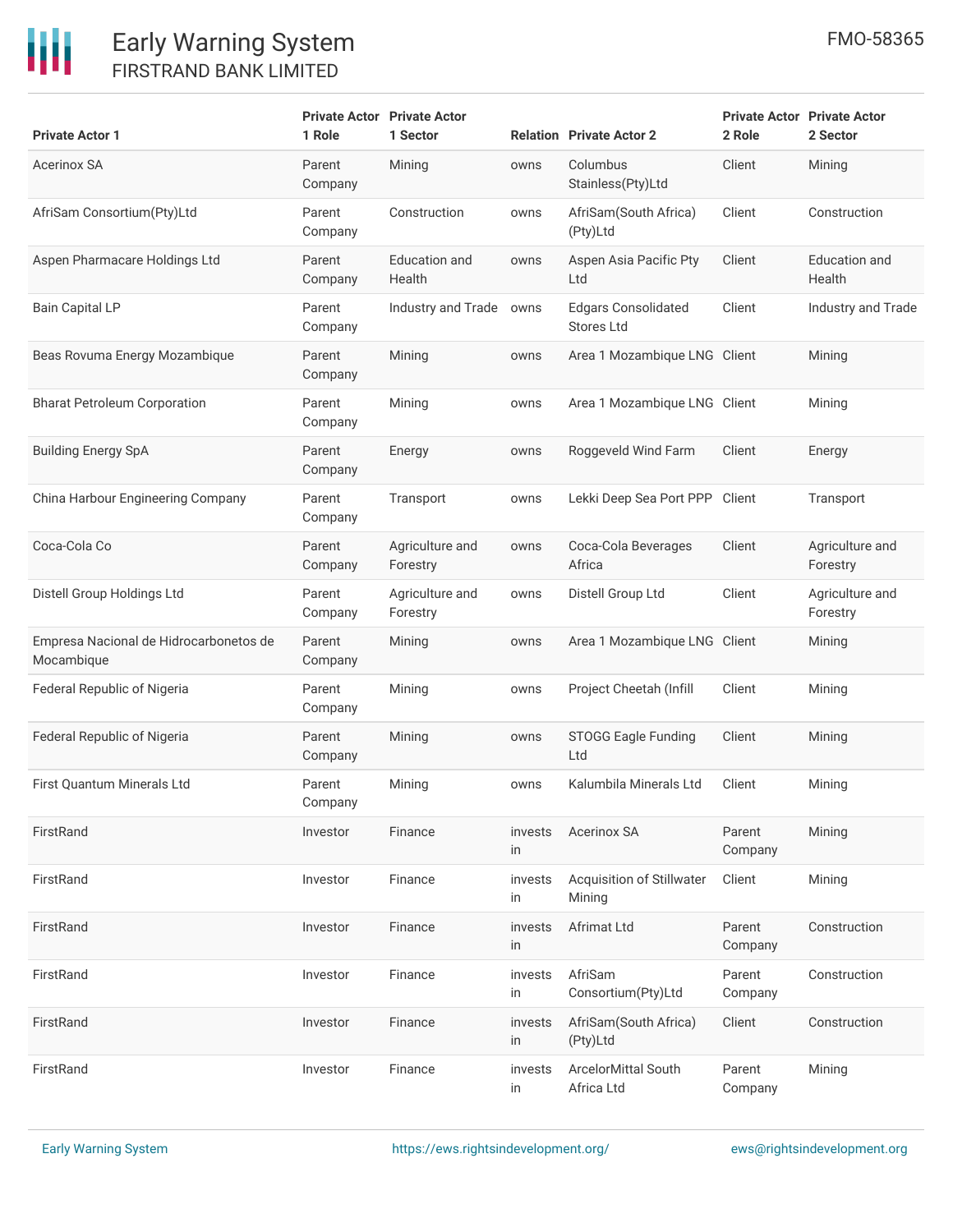# 冊

| <b>Private Actor 1</b>                               | 1 Role            | <b>Private Actor Private Actor</b><br>1 Sector |               | <b>Relation</b> Private Actor 2                 | 2 Role            | <b>Private Actor Private Actor</b><br>2 Sector |
|------------------------------------------------------|-------------------|------------------------------------------------|---------------|-------------------------------------------------|-------------------|------------------------------------------------|
| Acerinox SA                                          | Parent<br>Company | Mining                                         | owns          | Columbus<br>Stainless(Pty)Ltd                   | Client            | Mining                                         |
| AfriSam Consortium(Pty)Ltd                           | Parent<br>Company | Construction                                   | owns          | AfriSam(South Africa)<br>(Pty)Ltd               | Client            | Construction                                   |
| Aspen Pharmacare Holdings Ltd                        | Parent<br>Company | <b>Education and</b><br>Health                 | owns          | Aspen Asia Pacific Pty<br>Ltd                   | Client            | <b>Education and</b><br>Health                 |
| <b>Bain Capital LP</b>                               | Parent<br>Company | Industry and Trade owns                        |               | <b>Edgars Consolidated</b><br><b>Stores Ltd</b> | Client            | Industry and Trade                             |
| Beas Rovuma Energy Mozambique                        | Parent<br>Company | Mining                                         | owns          | Area 1 Mozambique LNG Client                    |                   | Mining                                         |
| <b>Bharat Petroleum Corporation</b>                  | Parent<br>Company | Mining                                         | owns          | Area 1 Mozambique LNG Client                    |                   | Mining                                         |
| <b>Building Energy SpA</b>                           | Parent<br>Company | Energy                                         | owns          | Roggeveld Wind Farm                             | Client            | Energy                                         |
| China Harbour Engineering Company                    | Parent<br>Company | Transport                                      | owns          | Lekki Deep Sea Port PPP Client                  |                   | Transport                                      |
| Coca-Cola Co                                         | Parent<br>Company | Agriculture and<br>Forestry                    | owns          | Coca-Cola Beverages<br>Africa                   | Client            | Agriculture and<br>Forestry                    |
| Distell Group Holdings Ltd                           | Parent<br>Company | Agriculture and<br>Forestry                    | owns          | Distell Group Ltd                               | Client            | Agriculture and<br>Forestry                    |
| Empresa Nacional de Hidrocarbonetos de<br>Mocambique | Parent<br>Company | Mining                                         | owns          | Area 1 Mozambique LNG Client                    |                   | Mining                                         |
| Federal Republic of Nigeria                          | Parent<br>Company | Mining                                         | owns          | Project Cheetah (Infill                         | Client            | Mining                                         |
| Federal Republic of Nigeria                          | Parent<br>Company | Mining                                         | owns          | <b>STOGG Eagle Funding</b><br>Ltd               | Client            | Mining                                         |
| <b>First Ouantum Minerals Ltd</b>                    | Parent<br>Company | Mining                                         | owns          | Kalumbila Minerals Ltd                          | Client            | Mining                                         |
| FirstRand                                            | Investor          | Finance                                        | invests<br>in | Acerinox SA                                     | Parent<br>Company | Mining                                         |
| FirstRand                                            | Investor          | Finance                                        | invests<br>in | Acquisition of Stillwater<br>Mining             | Client            | Mining                                         |
| FirstRand                                            | Investor          | Finance                                        | invests<br>in | Afrimat Ltd                                     | Parent<br>Company | Construction                                   |
| FirstRand                                            | Investor          | Finance                                        | invests<br>in | AfriSam<br>Consortium(Pty)Ltd                   | Parent<br>Company | Construction                                   |
| FirstRand                                            | Investor          | Finance                                        | invests<br>in | AfriSam(South Africa)<br>(Pty)Ltd               | Client            | Construction                                   |
| FirstRand                                            | Investor          | Finance                                        | invests<br>in | ArcelorMittal South<br>Africa Ltd               | Parent<br>Company | Mining                                         |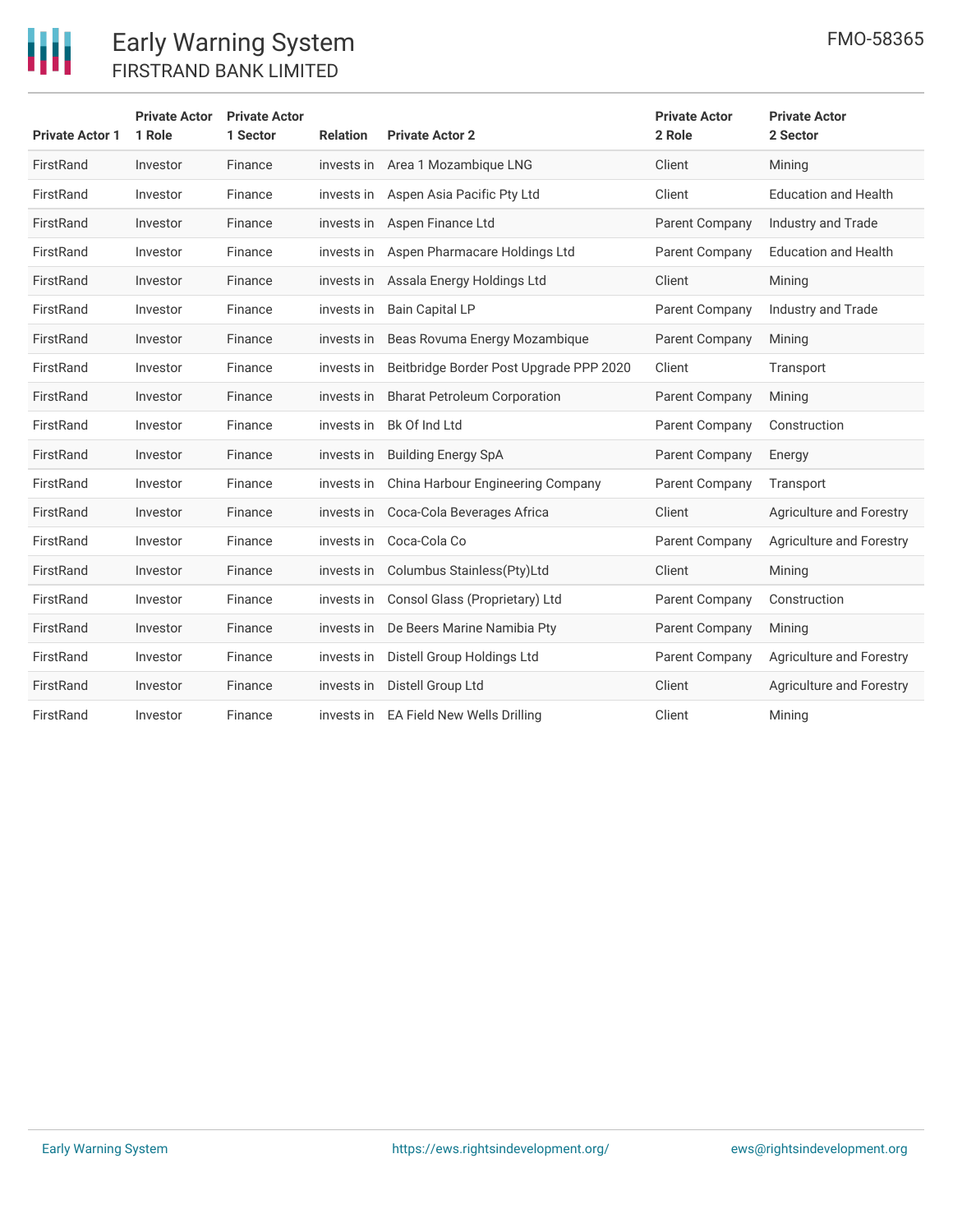

| <b>Private Actor 1</b> | <b>Private Actor</b><br>1 Role | <b>Private Actor</b><br>1 Sector | <b>Relation</b> | <b>Private Actor 2</b>                  | <b>Private Actor</b><br>2 Role | <b>Private Actor</b><br>2 Sector |
|------------------------|--------------------------------|----------------------------------|-----------------|-----------------------------------------|--------------------------------|----------------------------------|
| FirstRand              | Investor                       | Finance                          | invests in      | Area 1 Mozambique LNG                   | Client                         | Mining                           |
| FirstRand              | Investor                       | Finance                          | invests in      | Aspen Asia Pacific Pty Ltd              | Client                         | <b>Education and Health</b>      |
| FirstRand              | Investor                       | Finance                          |                 | invests in Aspen Finance Ltd            | Parent Company                 | Industry and Trade               |
| FirstRand              | Investor                       | Finance                          | invests in      | Aspen Pharmacare Holdings Ltd           | Parent Company                 | <b>Education and Health</b>      |
| FirstRand              | Investor                       | Finance                          |                 | invests in Assala Energy Holdings Ltd   | Client                         | Mining                           |
| FirstRand              | Investor                       | Finance                          | invests in      | <b>Bain Capital LP</b>                  | Parent Company                 | <b>Industry and Trade</b>        |
| FirstRand              | Investor                       | Finance                          | invests in      | Beas Rovuma Energy Mozambique           | Parent Company                 | Mining                           |
| FirstRand              | Investor                       | Finance                          | invests in      | Beitbridge Border Post Upgrade PPP 2020 | Client                         | Transport                        |
| FirstRand              | Investor                       | Finance                          | invests in      | <b>Bharat Petroleum Corporation</b>     | Parent Company                 | Mining                           |
| FirstRand              | Investor                       | Finance                          | invests in      | Bk Of Ind Ltd                           | Parent Company                 | Construction                     |
| FirstRand              | Investor                       | Finance                          | invests in      | <b>Building Energy SpA</b>              | Parent Company                 | Energy                           |
| FirstRand              | Investor                       | Finance                          | invests in      | China Harbour Engineering Company       | Parent Company                 | Transport                        |
| FirstRand              | Investor                       | Finance                          | invests in      | Coca-Cola Beverages Africa              | Client                         | Agriculture and Forestry         |
| FirstRand              | Investor                       | Finance                          | invests in      | Coca-Cola Co                            | Parent Company                 | Agriculture and Forestry         |
| FirstRand              | Investor                       | Finance                          | invests in      | Columbus Stainless(Pty)Ltd              | Client                         | Mining                           |
| FirstRand              | Investor                       | Finance                          | invests in      | Consol Glass (Proprietary) Ltd          | Parent Company                 | Construction                     |
| FirstRand              | Investor                       | Finance                          | invests in      | De Beers Marine Namibia Pty             | Parent Company                 | Mining                           |
| FirstRand              | Investor                       | Finance                          | invests in      | Distell Group Holdings Ltd              | Parent Company                 | Agriculture and Forestry         |
| FirstRand              | Investor                       | Finance                          | invests in      | Distell Group Ltd                       | Client                         | <b>Agriculture and Forestry</b>  |
| FirstRand              | Investor                       | Finance                          |                 | invests in EA Field New Wells Drilling  | Client                         | Mining                           |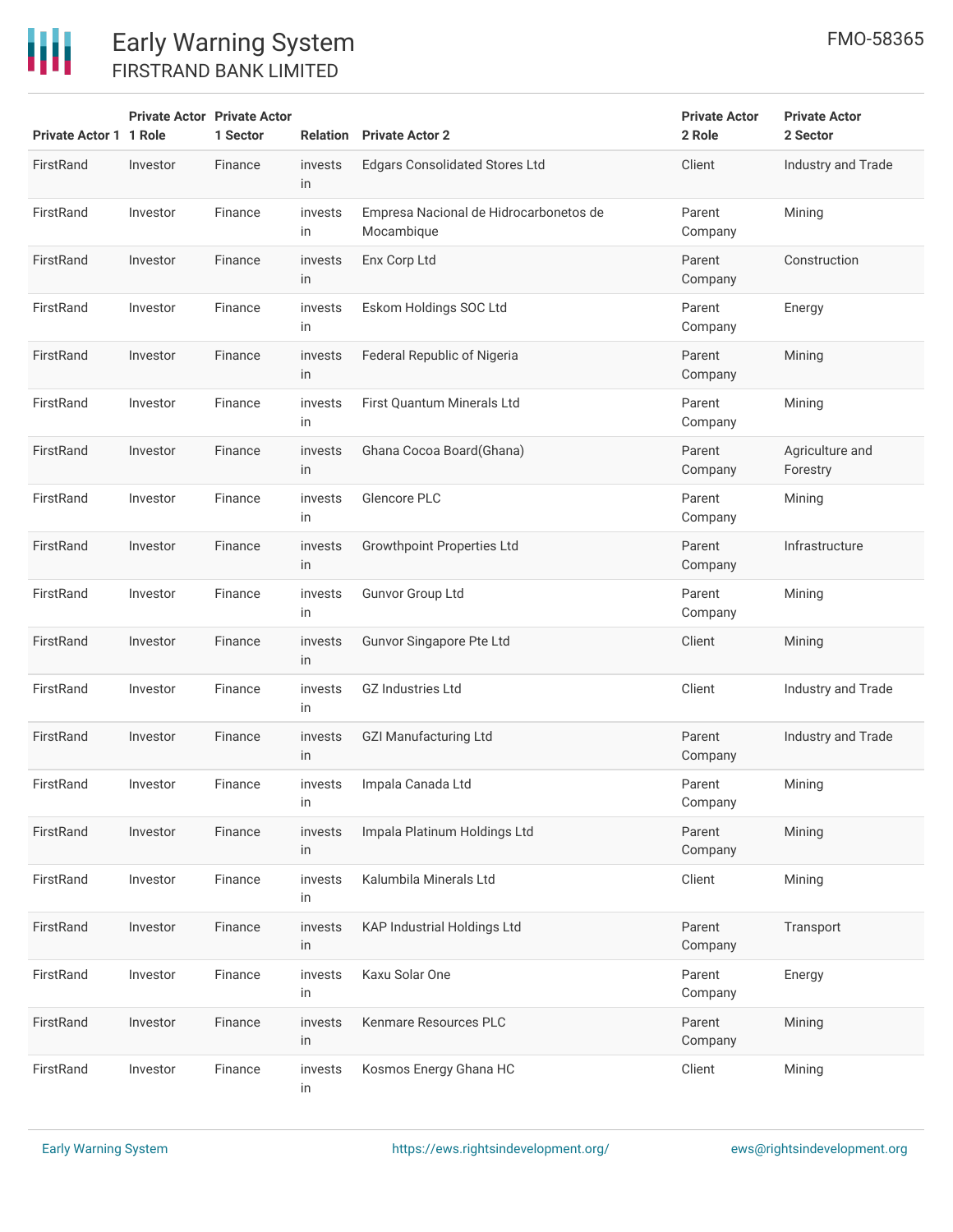| <b>Private Actor 1 1 Role</b> |          | <b>Private Actor Private Actor</b><br>1 Sector |               | <b>Relation</b> Private Actor 2                      | <b>Private Actor</b><br>2 Role | <b>Private Actor</b><br>2 Sector |
|-------------------------------|----------|------------------------------------------------|---------------|------------------------------------------------------|--------------------------------|----------------------------------|
| FirstRand                     | Investor | Finance                                        | invests<br>in | <b>Edgars Consolidated Stores Ltd</b>                | Client                         | Industry and Trade               |
| FirstRand                     | Investor | Finance                                        | invests<br>in | Empresa Nacional de Hidrocarbonetos de<br>Mocambique | Parent<br>Company              | Mining                           |
| FirstRand                     | Investor | Finance                                        | invests<br>in | Enx Corp Ltd                                         | Parent<br>Company              | Construction                     |
| FirstRand                     | Investor | Finance                                        | invests<br>in | Eskom Holdings SOC Ltd                               | Parent<br>Company              | Energy                           |
| FirstRand                     | Investor | Finance                                        | invests<br>in | Federal Republic of Nigeria                          | Parent<br>Company              | Mining                           |
| FirstRand                     | Investor | Finance                                        | invests<br>in | First Quantum Minerals Ltd                           | Parent<br>Company              | Mining                           |
| FirstRand                     | Investor | Finance                                        | invests<br>in | Ghana Cocoa Board(Ghana)                             | Parent<br>Company              | Agriculture and<br>Forestry      |
| FirstRand                     | Investor | Finance                                        | invests<br>in | Glencore PLC                                         | Parent<br>Company              | Mining                           |
| FirstRand                     | Investor | Finance                                        | invests<br>in | <b>Growthpoint Properties Ltd</b>                    | Parent<br>Company              | Infrastructure                   |
| FirstRand                     | Investor | Finance                                        | invests<br>in | <b>Gunvor Group Ltd</b>                              | Parent<br>Company              | Mining                           |
| FirstRand                     | Investor | Finance                                        | invests<br>in | Gunvor Singapore Pte Ltd                             | Client                         | Mining                           |
| FirstRand                     | Investor | Finance                                        | invests<br>in | <b>GZ Industries Ltd</b>                             | Client                         | Industry and Trade               |
| FirstRand                     | Investor | Finance                                        | invests<br>in | <b>GZI Manufacturing Ltd</b>                         | Parent<br>Company              | Industry and Trade               |
| FirstRand                     | Investor | Finance                                        | invests<br>in | Impala Canada Ltd                                    | Parent<br>Company              | Mining                           |
| FirstRand                     | Investor | Finance                                        | invests<br>in | Impala Platinum Holdings Ltd                         | Parent<br>Company              | Mining                           |
| FirstRand                     | Investor | Finance                                        | invests<br>in | Kalumbila Minerals Ltd                               | Client                         | Mining                           |
| FirstRand                     | Investor | Finance                                        | invests<br>in | <b>KAP Industrial Holdings Ltd</b>                   | Parent<br>Company              | Transport                        |
| FirstRand                     | Investor | Finance                                        | invests<br>in | Kaxu Solar One                                       | Parent<br>Company              | Energy                           |
| FirstRand                     | Investor | Finance                                        | invests<br>in | Kenmare Resources PLC                                | Parent<br>Company              | Mining                           |
| FirstRand                     | Investor | Finance                                        | invests<br>in | Kosmos Energy Ghana HC                               | Client                         | Mining                           |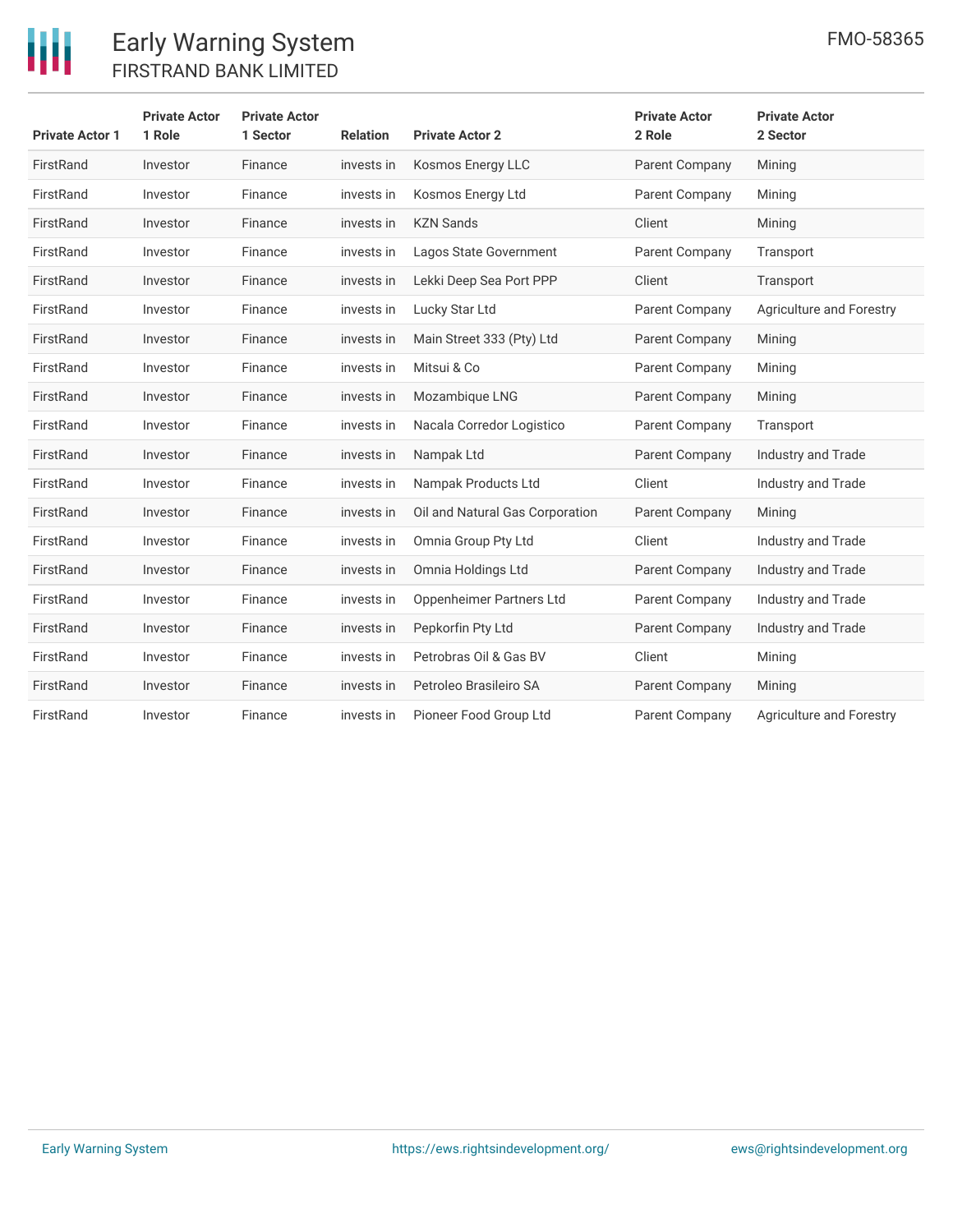

| <b>Private Actor 1</b> | <b>Private Actor</b><br>1 Role | <b>Private Actor</b><br>1 Sector | <b>Relation</b> | <b>Private Actor 2</b>          | <b>Private Actor</b><br>2 Role | <b>Private Actor</b><br>2 Sector |
|------------------------|--------------------------------|----------------------------------|-----------------|---------------------------------|--------------------------------|----------------------------------|
| FirstRand              | Investor                       | Finance                          | invests in      | Kosmos Energy LLC               | Parent Company                 | Mining                           |
| FirstRand              | Investor                       | Finance                          | invests in      | Kosmos Energy Ltd               | Parent Company                 | Mining                           |
| FirstRand              | Investor                       | Finance                          | invests in      | <b>KZN Sands</b>                | Client                         | Mining                           |
| FirstRand              | Investor                       | Finance                          | invests in      | Lagos State Government          | Parent Company                 | Transport                        |
| FirstRand              | Investor                       | Finance                          | invests in      | Lekki Deep Sea Port PPP         | Client                         | Transport                        |
| FirstRand              | Investor                       | Finance                          | invests in      | Lucky Star Ltd                  | Parent Company                 | Agriculture and Forestry         |
| FirstRand              | Investor                       | Finance                          | invests in      | Main Street 333 (Pty) Ltd       | Parent Company                 | Mining                           |
| FirstRand              | Investor                       | Finance                          | invests in      | Mitsui & Co                     | Parent Company                 | Mining                           |
| FirstRand              | Investor                       | Finance                          | invests in      | Mozambique LNG                  | Parent Company                 | Mining                           |
| FirstRand              | Investor                       | Finance                          | invests in      | Nacala Corredor Logistico       | <b>Parent Company</b>          | Transport                        |
| FirstRand              | Investor                       | Finance                          | invests in      | Nampak Ltd                      | Parent Company                 | Industry and Trade               |
| FirstRand              | Investor                       | Finance                          | invests in      | Nampak Products Ltd             | Client                         | Industry and Trade               |
| FirstRand              | Investor                       | Finance                          | invests in      | Oil and Natural Gas Corporation | Parent Company                 | Mining                           |
| FirstRand              | Investor                       | Finance                          | invests in      | Omnia Group Pty Ltd             | Client                         | Industry and Trade               |
| FirstRand              | Investor                       | Finance                          | invests in      | Omnia Holdings Ltd              | Parent Company                 | Industry and Trade               |
| FirstRand              | Investor                       | Finance                          | invests in      | Oppenheimer Partners Ltd        | Parent Company                 | Industry and Trade               |
| FirstRand              | Investor                       | Finance                          | invests in      | Pepkorfin Pty Ltd               | Parent Company                 | Industry and Trade               |
| FirstRand              | Investor                       | Finance                          | invests in      | Petrobras Oil & Gas BV          | Client                         | Mining                           |
| FirstRand              | Investor                       | Finance                          | invests in      | Petroleo Brasileiro SA          | Parent Company                 | Mining                           |
| FirstRand              | Investor                       | Finance                          | invests in      | Pioneer Food Group Ltd          | Parent Company                 | Agriculture and Forestry         |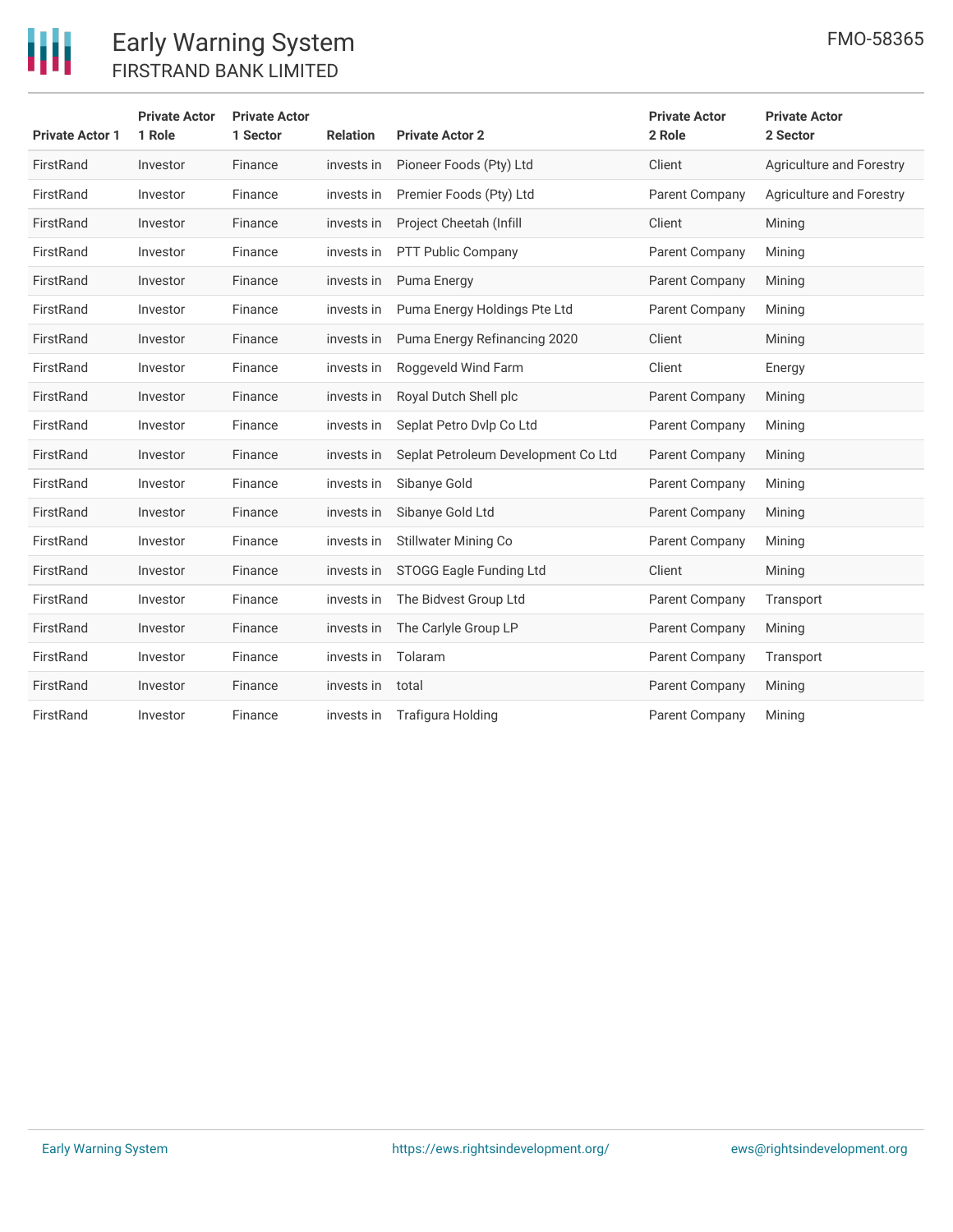

| <b>Private Actor 1</b> | <b>Private Actor</b><br>1 Role | <b>Private Actor</b><br>1 Sector | <b>Relation</b> | <b>Private Actor 2</b>              | <b>Private Actor</b><br>2 Role | <b>Private Actor</b><br>2 Sector |
|------------------------|--------------------------------|----------------------------------|-----------------|-------------------------------------|--------------------------------|----------------------------------|
| FirstRand              | Investor                       | Finance                          | invests in      | Pioneer Foods (Pty) Ltd             | Client                         | Agriculture and Forestry         |
| FirstRand              | Investor                       | Finance                          | invests in      | Premier Foods (Pty) Ltd             | Parent Company                 | Agriculture and Forestry         |
| FirstRand              | Investor                       | Finance                          | invests in      | Project Cheetah (Infill             | Client                         | Mining                           |
| FirstRand              | Investor                       | Finance                          | invests in      | PTT Public Company                  | Parent Company                 | Mining                           |
| FirstRand              | Investor                       | Finance                          | invests in      | Puma Energy                         | Parent Company                 | Mining                           |
| FirstRand              | Investor                       | Finance                          | invests in      | Puma Energy Holdings Pte Ltd        | Parent Company                 | Mining                           |
| FirstRand              | Investor                       | Finance                          | invests in      | Puma Energy Refinancing 2020        | Client                         | Mining                           |
| FirstRand              | Investor                       | Finance                          | invests in      | Roggeveld Wind Farm                 | Client                         | Energy                           |
| FirstRand              | Investor                       | Finance                          | invests in      | Royal Dutch Shell plc               | Parent Company                 | Mining                           |
| FirstRand              | Investor                       | Finance                          | invests in      | Seplat Petro Dvlp Co Ltd            | Parent Company                 | Mining                           |
| FirstRand              | Investor                       | Finance                          | invests in      | Seplat Petroleum Development Co Ltd | Parent Company                 | Mining                           |
| FirstRand              | Investor                       | Finance                          | invests in      | Sibanye Gold                        | Parent Company                 | Mining                           |
| FirstRand              | Investor                       | Finance                          | invests in      | Sibanye Gold Ltd                    | Parent Company                 | Mining                           |
| FirstRand              | Investor                       | Finance                          | invests in      | Stillwater Mining Co                | Parent Company                 | Mining                           |
| FirstRand              | Investor                       | Finance                          | invests in      | STOGG Eagle Funding Ltd             | Client                         | Mining                           |
| FirstRand              | Investor                       | Finance                          | invests in      | The Bidvest Group Ltd               | Parent Company                 | Transport                        |
| FirstRand              | Investor                       | Finance                          | invests in      | The Carlyle Group LP                | Parent Company                 | Mining                           |
| FirstRand              | Investor                       | Finance                          | invests in      | Tolaram                             | Parent Company                 | Transport                        |
| FirstRand              | Investor                       | Finance                          | invests in      | total                               | Parent Company                 | Mining                           |
| FirstRand              | Investor                       | Finance                          | invests in      | Trafigura Holding                   | Parent Company                 | Mining                           |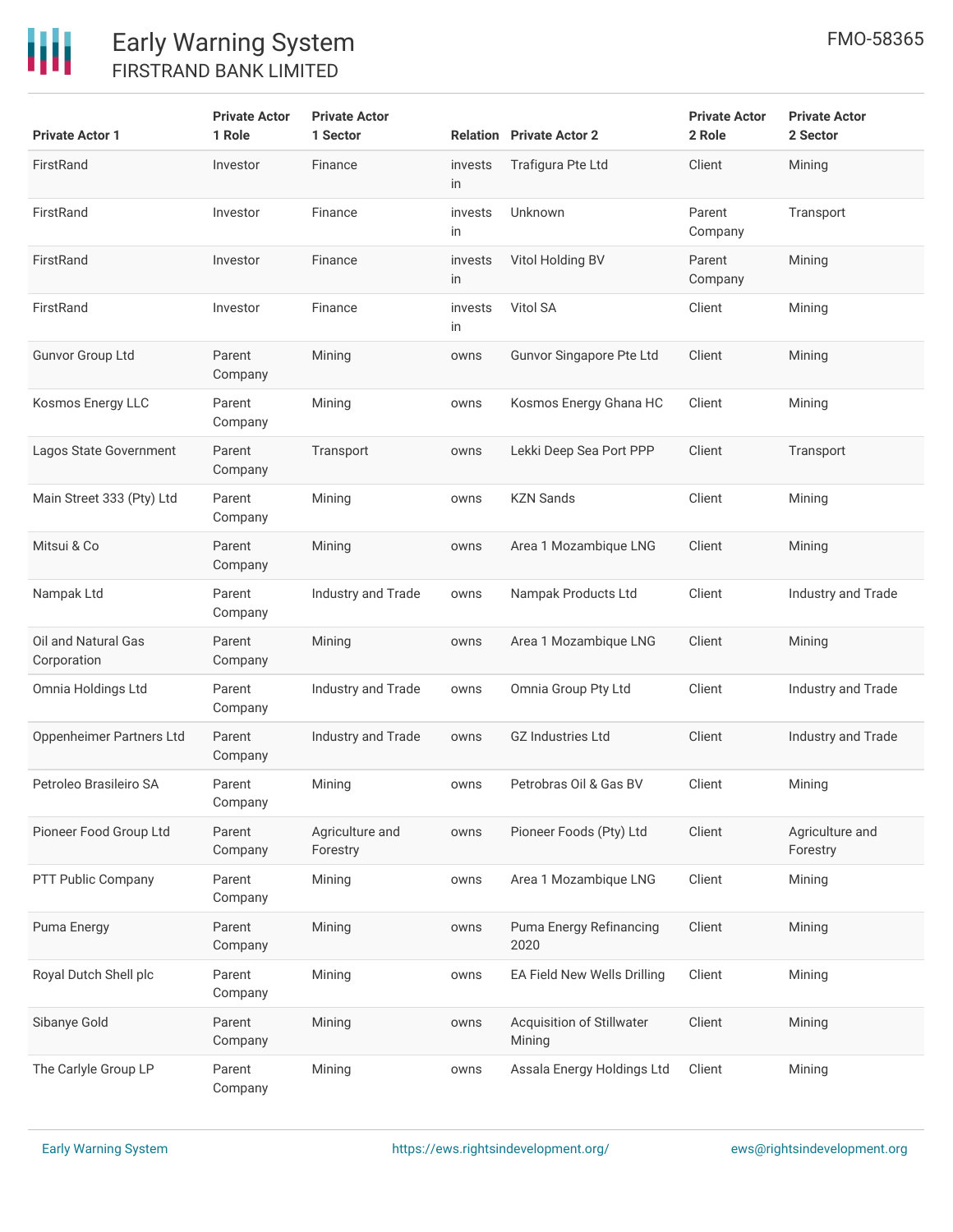| <b>Private Actor 1</b>             | <b>Private Actor</b><br>1 Role | <b>Private Actor</b><br>1 Sector |               | <b>Relation</b> Private Actor 2     | <b>Private Actor</b><br>2 Role | <b>Private Actor</b><br>2 Sector |
|------------------------------------|--------------------------------|----------------------------------|---------------|-------------------------------------|--------------------------------|----------------------------------|
| FirstRand                          | Investor                       | Finance                          | invests<br>in | Trafigura Pte Ltd                   | Client                         | Mining                           |
| FirstRand                          | Investor                       | Finance                          | invests<br>in | Unknown                             | Parent<br>Company              | Transport                        |
| FirstRand                          | Investor                       | Finance                          | invests<br>in | Vitol Holding BV                    | Parent<br>Company              | Mining                           |
| FirstRand                          | Investor                       | Finance                          | invests<br>in | Vitol SA                            | Client                         | Mining                           |
| <b>Gunvor Group Ltd</b>            | Parent<br>Company              | Mining                           | owns          | Gunvor Singapore Pte Ltd            | Client                         | Mining                           |
| Kosmos Energy LLC                  | Parent<br>Company              | Mining                           | owns          | Kosmos Energy Ghana HC              | Client                         | Mining                           |
| Lagos State Government             | Parent<br>Company              | Transport                        | owns          | Lekki Deep Sea Port PPP             | Client                         | Transport                        |
| Main Street 333 (Pty) Ltd          | Parent<br>Company              | Mining                           | owns          | <b>KZN Sands</b>                    | Client                         | Mining                           |
| Mitsui & Co                        | Parent<br>Company              | Mining                           | owns          | Area 1 Mozambique LNG               | Client                         | Mining                           |
| Nampak Ltd                         | Parent<br>Company              | Industry and Trade               | owns          | Nampak Products Ltd                 | Client                         | Industry and Trade               |
| Oil and Natural Gas<br>Corporation | Parent<br>Company              | Mining                           | owns          | Area 1 Mozambique LNG               | Client                         | Mining                           |
| Omnia Holdings Ltd                 | Parent<br>Company              | Industry and Trade               | owns          | Omnia Group Pty Ltd                 | Client                         | Industry and Trade               |
| Oppenheimer Partners Ltd           | Parent<br>Company              | Industry and Trade               | owns          | <b>GZ Industries Ltd</b>            | Client                         | Industry and Trade               |
| Petroleo Brasileiro SA             | Parent<br>Company              | Mining                           | owns          | Petrobras Oil & Gas BV              | Client                         | Mining                           |
| Pioneer Food Group Ltd             | Parent<br>Company              | Agriculture and<br>Forestry      | owns          | Pioneer Foods (Pty) Ltd             | Client                         | Agriculture and<br>Forestry      |
| PTT Public Company                 | Parent<br>Company              | Mining                           | owns          | Area 1 Mozambique LNG               | Client                         | Mining                           |
| Puma Energy                        | Parent<br>Company              | Mining                           | owns          | Puma Energy Refinancing<br>2020     | Client                         | Mining                           |
| Royal Dutch Shell plc              | Parent<br>Company              | Mining                           | owns          | EA Field New Wells Drilling         | Client                         | Mining                           |
| Sibanye Gold                       | Parent<br>Company              | Mining                           | owns          | Acquisition of Stillwater<br>Mining | Client                         | Mining                           |
| The Carlyle Group LP               | Parent<br>Company              | Mining                           | owns          | Assala Energy Holdings Ltd          | Client                         | Mining                           |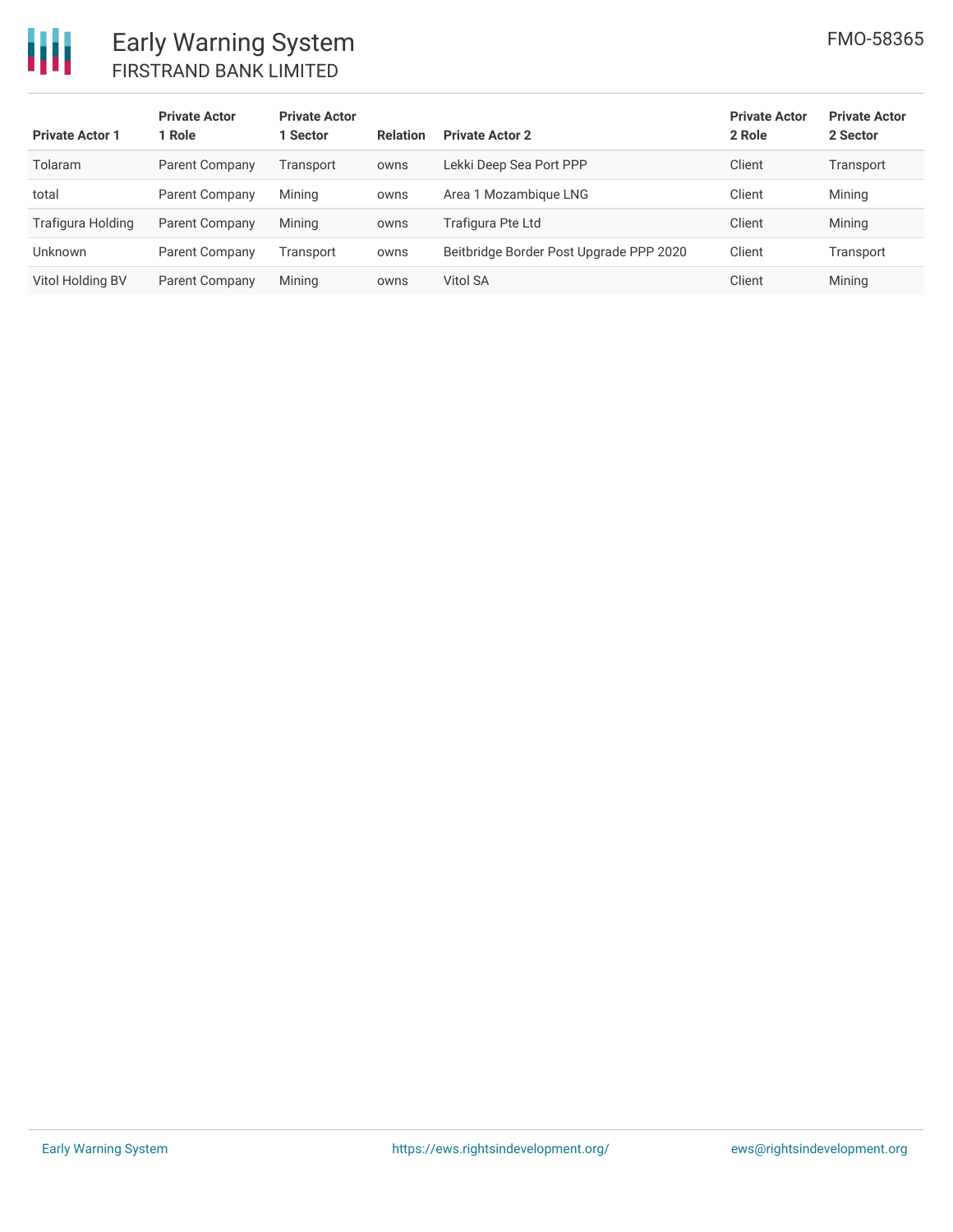

| <b>Private Actor 1</b> | <b>Private Actor</b><br>1 Role | <b>Private Actor</b><br>1 Sector | <b>Relation</b> | <b>Private Actor 2</b>                  | <b>Private Actor</b><br>2 Role | <b>Private Actor</b><br>2 Sector |
|------------------------|--------------------------------|----------------------------------|-----------------|-----------------------------------------|--------------------------------|----------------------------------|
| Tolaram                | Parent Company                 | Transport                        | owns            | Lekki Deep Sea Port PPP                 | Client                         | Transport                        |
| total                  | Parent Company                 | Mining                           | owns            | Area 1 Mozambique LNG                   | Client                         | Mining                           |
| Trafigura Holding      | Parent Company                 | Mining                           | owns            | Trafigura Pte Ltd                       | Client                         | Mining                           |
| Unknown                | Parent Company                 | Transport                        | owns            | Beitbridge Border Post Upgrade PPP 2020 | Client                         | Transport                        |
| Vitol Holding BV       | Parent Company                 | Mining                           | owns            | Vitol SA                                | Client                         | Mining                           |